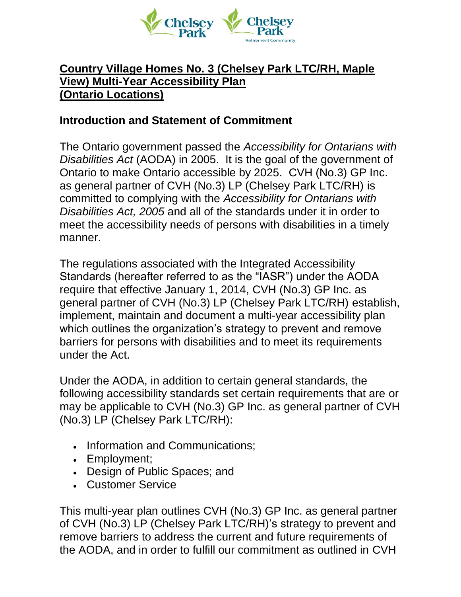

### **Country Village Homes No. 3 (Chelsey Park LTC/RH, Maple View) Multi-Year Accessibility Plan (Ontario Locations)**

### **Introduction and Statement of Commitment**

The Ontario government passed the *Accessibility for Ontarians with Disabilities Act* (AODA) in 2005. It is the goal of the government of Ontario to make Ontario accessible by 2025. CVH (No.3) GP Inc. as general partner of CVH (No.3) LP (Chelsey Park LTC/RH) is committed to complying with the *Accessibility for Ontarians with Disabilities Act, 2005* and all of the standards under it in order to meet the accessibility needs of persons with disabilities in a timely manner.

The regulations associated with the Integrated Accessibility Standards (hereafter referred to as the "IASR") under the AODA require that effective January 1, 2014, CVH (No.3) GP Inc. as general partner of CVH (No.3) LP (Chelsey Park LTC/RH) establish, implement, maintain and document a multi-year accessibility plan which outlines the organization's strategy to prevent and remove barriers for persons with disabilities and to meet its requirements under the Act.

Under the AODA, in addition to certain general standards, the following accessibility standards set certain requirements that are or may be applicable to CVH (No.3) GP Inc. as general partner of CVH (No.3) LP (Chelsey Park LTC/RH):

- Information and Communications;
- Employment;
- Design of Public Spaces; and
- Customer Service

This multi-year plan outlines CVH (No.3) GP Inc. as general partner of CVH (No.3) LP (Chelsey Park LTC/RH)'s strategy to prevent and remove barriers to address the current and future requirements of the AODA, and in order to fulfill our commitment as outlined in CVH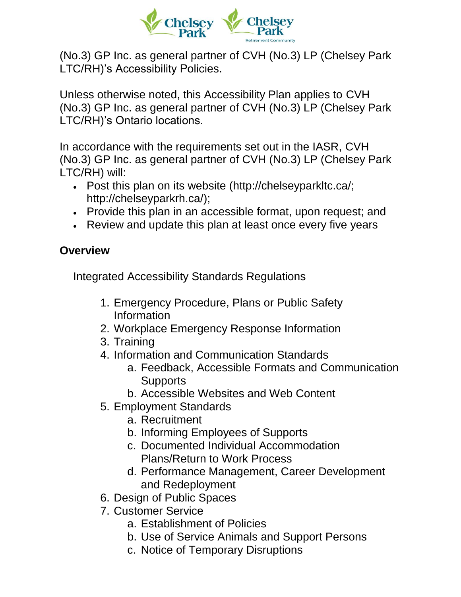

(No.3) GP Inc. as general partner of CVH (No.3) LP (Chelsey Park LTC/RH)'s Accessibility Policies.

Unless otherwise noted, this Accessibility Plan applies to CVH (No.3) GP Inc. as general partner of CVH (No.3) LP (Chelsey Park LTC/RH)'s Ontario locations.

In accordance with the requirements set out in the IASR, CVH (No.3) GP Inc. as general partner of CVH (No.3) LP (Chelsey Park LTC/RH) will:

- Post this plan on its website [\(http://chelseyparkltc.ca/;](http://chelseyparkltc.ca/) http://chelseyparkrh.ca/);
- Provide this plan in an accessible format, upon request; and
- Review and update this plan at least once every five years

## **Overview**

Integrated Accessibility Standards Regulations

- 1. Emergency Procedure, Plans or Public Safety Information
- 2. Workplace Emergency Response Information
- 3. Training
- 4. Information and Communication Standards
	- a. Feedback, Accessible Formats and Communication **Supports**
	- b. Accessible Websites and Web Content
- 5. Employment Standards
	- a. Recruitment
	- b. Informing Employees of Supports
	- c. Documented Individual Accommodation Plans/Return to Work Process
	- d. Performance Management, Career Development and Redeployment
- 6. Design of Public Spaces
- 7. Customer Service
	- a. Establishment of Policies
	- b. Use of Service Animals and Support Persons
	- c. Notice of Temporary Disruptions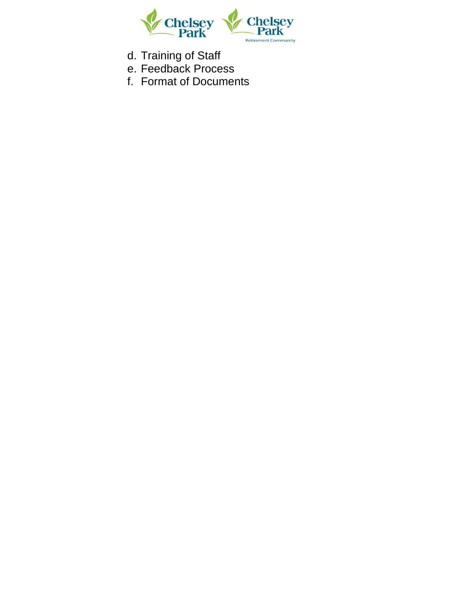

- d. Training of Staff
- e. Feedback Process
- f. Format of Documents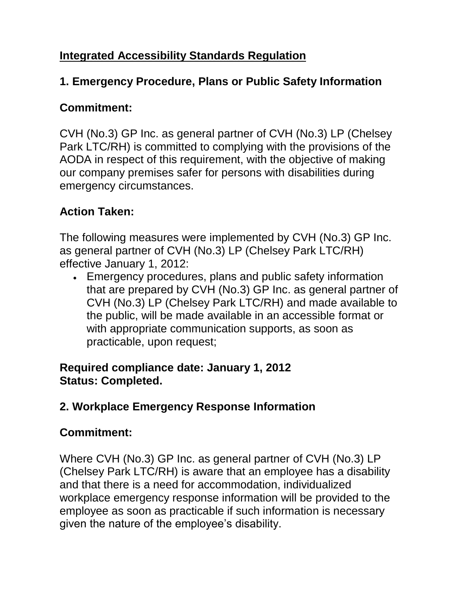# **Integrated Accessibility Standards Regulation**

### **1. Emergency Procedure, Plans or Public Safety Information**

### **Commitment:**

CVH (No.3) GP Inc. as general partner of CVH (No.3) LP (Chelsey Park LTC/RH) is committed to complying with the provisions of the AODA in respect of this requirement, with the objective of making our company premises safer for persons with disabilities during emergency circumstances.

# **Action Taken:**

The following measures were implemented by CVH (No.3) GP Inc. as general partner of CVH (No.3) LP (Chelsey Park LTC/RH) effective January 1, 2012:

• Emergency procedures, plans and public safety information that are prepared by CVH (No.3) GP Inc. as general partner of CVH (No.3) LP (Chelsey Park LTC/RH) and made available to the public, will be made available in an accessible format or with appropriate communication supports, as soon as practicable, upon request;

#### **Required compliance date: January 1, 2012 Status: Completed.**

# **2. Workplace Emergency Response Information**

## **Commitment:**

Where CVH (No.3) GP Inc. as general partner of CVH (No.3) LP (Chelsey Park LTC/RH) is aware that an employee has a disability and that there is a need for accommodation, individualized workplace emergency response information will be provided to the employee as soon as practicable if such information is necessary given the nature of the employee's disability.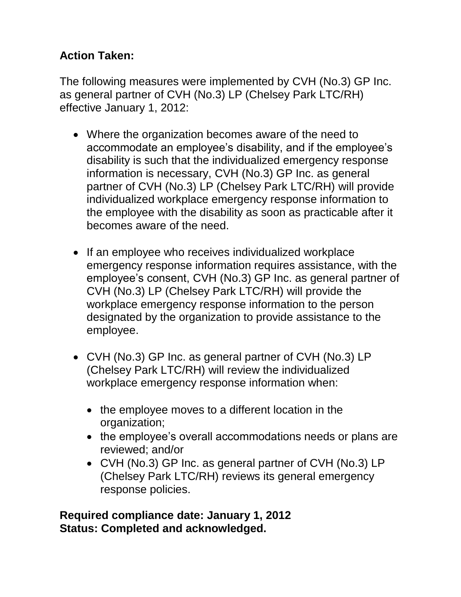# **Action Taken:**

The following measures were implemented by CVH (No.3) GP Inc. as general partner of CVH (No.3) LP (Chelsey Park LTC/RH) effective January 1, 2012:

- Where the organization becomes aware of the need to accommodate an employee's disability, and if the employee's disability is such that the individualized emergency response information is necessary, CVH (No.3) GP Inc. as general partner of CVH (No.3) LP (Chelsey Park LTC/RH) will provide individualized workplace emergency response information to the employee with the disability as soon as practicable after it becomes aware of the need.
- If an employee who receives individualized workplace emergency response information requires assistance, with the employee's consent, CVH (No.3) GP Inc. as general partner of CVH (No.3) LP (Chelsey Park LTC/RH) will provide the workplace emergency response information to the person designated by the organization to provide assistance to the employee.
- CVH (No.3) GP Inc. as general partner of CVH (No.3) LP (Chelsey Park LTC/RH) will review the individualized workplace emergency response information when:
	- the employee moves to a different location in the organization;
	- the employee's overall accommodations needs or plans are reviewed; and/or
	- CVH (No.3) GP Inc. as general partner of CVH (No.3) LP (Chelsey Park LTC/RH) reviews its general emergency response policies.

#### **Required compliance date: January 1, 2012 Status: Completed and acknowledged.**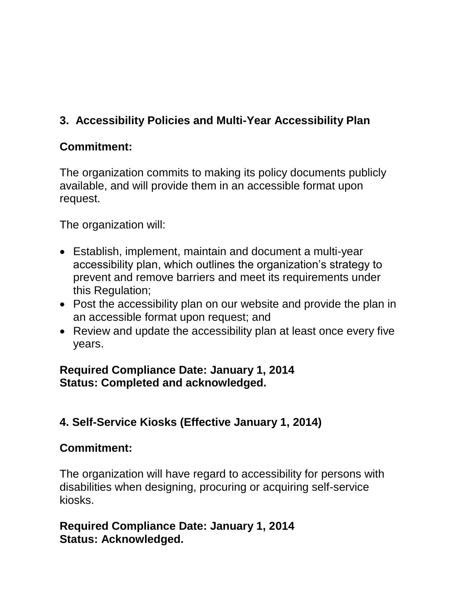# **3. Accessibility Policies and Multi-Year Accessibility Plan**

### **Commitment:**

The organization commits to making its policy documents publicly available, and will provide them in an accessible format upon request.

The organization will:

- Establish, implement, maintain and document a multi-year accessibility plan, which outlines the organization's strategy to prevent and remove barriers and meet its requirements under this Regulation;
- Post the accessibility plan on our website and provide the plan in an accessible format upon request; and
- Review and update the accessibility plan at least once every five years.

#### **Required Compliance Date: January 1, 2014 Status: Completed and acknowledged.**

## **4. Self-Service Kiosks (Effective January 1, 2014)**

## **Commitment:**

The organization will have regard to accessibility for persons with disabilities when designing, procuring or acquiring self-service kiosks.

### **Required Compliance Date: January 1, 2014 Status: Acknowledged.**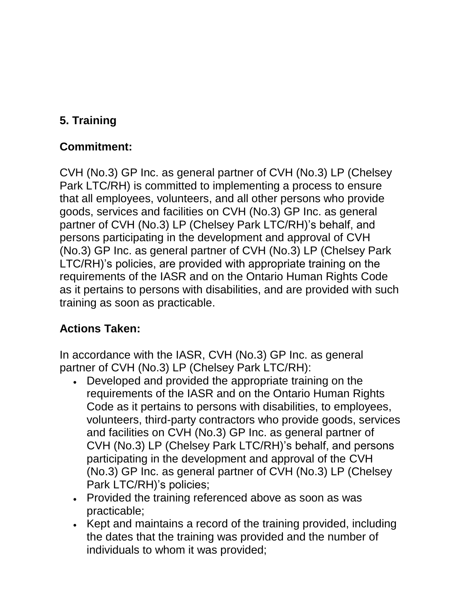# **5. Training**

# **Commitment:**

CVH (No.3) GP Inc. as general partner of CVH (No.3) LP (Chelsey Park LTC/RH) is committed to implementing a process to ensure that all employees, volunteers, and all other persons who provide goods, services and facilities on CVH (No.3) GP Inc. as general partner of CVH (No.3) LP (Chelsey Park LTC/RH)'s behalf, and persons participating in the development and approval of CVH (No.3) GP Inc. as general partner of CVH (No.3) LP (Chelsey Park LTC/RH)'s policies, are provided with appropriate training on the requirements of the IASR and on the Ontario Human Rights Code as it pertains to persons with disabilities, and are provided with such training as soon as practicable.

# **Actions Taken:**

In accordance with the IASR, CVH (No.3) GP Inc. as general partner of CVH (No.3) LP (Chelsey Park LTC/RH):

- Developed and provided the appropriate training on the requirements of the IASR and on the Ontario Human Rights Code as it pertains to persons with disabilities, to employees, volunteers, third-party contractors who provide goods, services and facilities on CVH (No.3) GP Inc. as general partner of CVH (No.3) LP (Chelsey Park LTC/RH)'s behalf, and persons participating in the development and approval of the CVH (No.3) GP Inc. as general partner of CVH (No.3) LP (Chelsey Park LTC/RH)'s policies;
- Provided the training referenced above as soon as was practicable;
- Kept and maintains a record of the training provided, including the dates that the training was provided and the number of individuals to whom it was provided;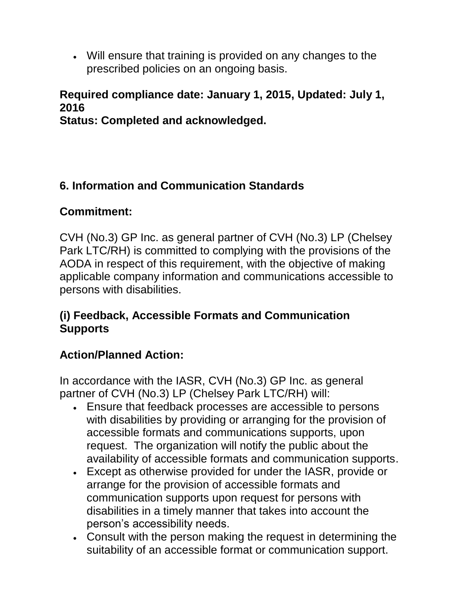• Will ensure that training is provided on any changes to the prescribed policies on an ongoing basis.

# **Required compliance date: January 1, 2015, Updated: July 1, 2016**

**Status: Completed and acknowledged.**

# **6. Information and Communication Standards**

### **Commitment:**

CVH (No.3) GP Inc. as general partner of CVH (No.3) LP (Chelsey Park LTC/RH) is committed to complying with the provisions of the AODA in respect of this requirement, with the objective of making applicable company information and communications accessible to persons with disabilities.

### **(i) Feedback, Accessible Formats and Communication Supports**

## **Action/Planned Action:**

In accordance with the IASR, CVH (No.3) GP Inc. as general partner of CVH (No.3) LP (Chelsey Park LTC/RH) will:

- Ensure that feedback processes are accessible to persons with disabilities by providing or arranging for the provision of accessible formats and communications supports, upon request. The organization will notify the public about the availability of accessible formats and communication supports.
- Except as otherwise provided for under the IASR, provide or arrange for the provision of accessible formats and communication supports upon request for persons with disabilities in a timely manner that takes into account the person's accessibility needs.
- Consult with the person making the request in determining the suitability of an accessible format or communication support.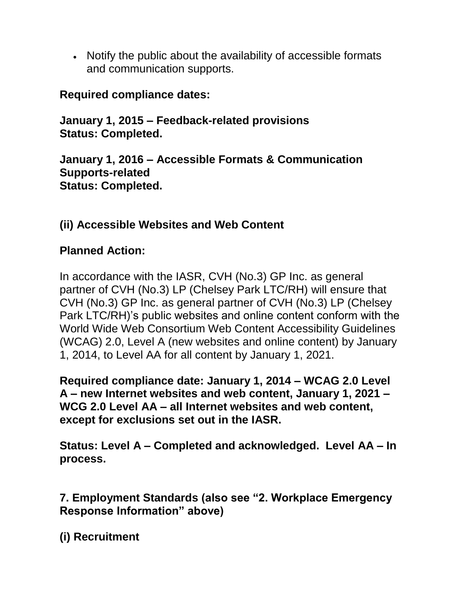• Notify the public about the availability of accessible formats and communication supports.

### **Required compliance dates:**

**January 1, 2015 – Feedback-related provisions Status: Completed.**

**January 1, 2016 – Accessible Formats & Communication Supports-related Status: Completed.**

# **(ii) Accessible Websites and Web Content**

### **Planned Action:**

In accordance with the IASR, CVH (No.3) GP Inc. as general partner of CVH (No.3) LP (Chelsey Park LTC/RH) will ensure that CVH (No.3) GP Inc. as general partner of CVH (No.3) LP (Chelsey Park LTC/RH)'s public websites and online content conform with the World Wide Web Consortium Web Content Accessibility Guidelines (WCAG) 2.0, Level A (new websites and online content) by January 1, 2014, to Level AA for all content by January 1, 2021.

**Required compliance date: January 1, 2014 – WCAG 2.0 Level A – new Internet websites and web content, January 1, 2021 – WCG 2.0 Level AA – all Internet websites and web content, except for exclusions set out in the IASR.** 

**Status: Level A – Completed and acknowledged. Level AA – In process.**

**7. Employment Standards (also see "2. Workplace Emergency Response Information" above)**

**(i) Recruitment**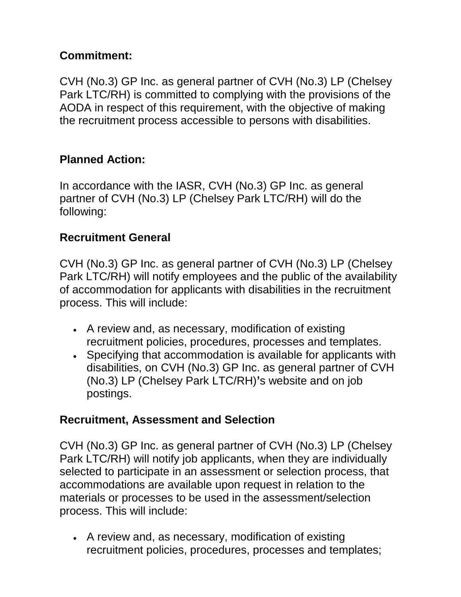# **Commitment:**

CVH (No.3) GP Inc. as general partner of CVH (No.3) LP (Chelsey Park LTC/RH) is committed to complying with the provisions of the AODA in respect of this requirement, with the objective of making the recruitment process accessible to persons with disabilities.

# **Planned Action:**

In accordance with the IASR, CVH (No.3) GP Inc. as general partner of CVH (No.3) LP (Chelsey Park LTC/RH) will do the following:

#### **Recruitment General**

CVH (No.3) GP Inc. as general partner of CVH (No.3) LP (Chelsey Park LTC/RH) will notify employees and the public of the availability of accommodation for applicants with disabilities in the recruitment process. This will include:

- A review and, as necessary, modification of existing recruitment policies, procedures, processes and templates.
- Specifying that accommodation is available for applicants with disabilities, on CVH (No.3) GP Inc. as general partner of CVH (No.3) LP (Chelsey Park LTC/RH)**'**s website and on job postings.

#### **Recruitment, Assessment and Selection**

CVH (No.3) GP Inc. as general partner of CVH (No.3) LP (Chelsey Park LTC/RH) will notify job applicants, when they are individually selected to participate in an assessment or selection process, that accommodations are available upon request in relation to the materials or processes to be used in the assessment/selection process. This will include:

• A review and, as necessary, modification of existing recruitment policies, procedures, processes and templates;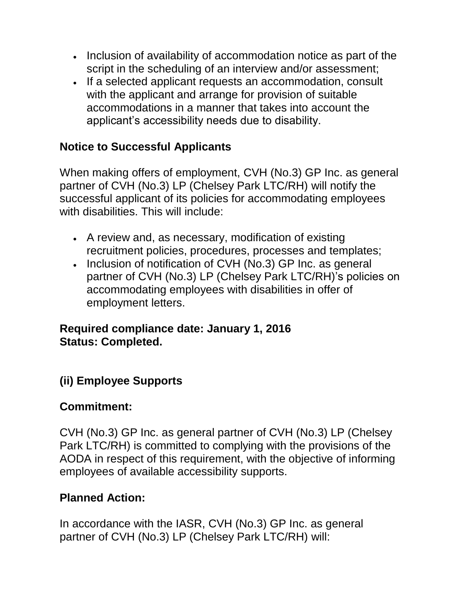- Inclusion of availability of accommodation notice as part of the script in the scheduling of an interview and/or assessment;
- If a selected applicant requests an accommodation, consult with the applicant and arrange for provision of suitable accommodations in a manner that takes into account the applicant's accessibility needs due to disability.

### **Notice to Successful Applicants**

When making offers of employment, CVH (No.3) GP Inc. as general partner of CVH (No.3) LP (Chelsey Park LTC/RH) will notify the successful applicant of its policies for accommodating employees with disabilities. This will include:

- A review and, as necessary, modification of existing recruitment policies, procedures, processes and templates;
- Inclusion of notification of CVH (No.3) GP Inc. as general partner of CVH (No.3) LP (Chelsey Park LTC/RH)'s policies on accommodating employees with disabilities in offer of employment letters.

#### **Required compliance date: January 1, 2016 Status: Completed.**

## **(ii) Employee Supports**

#### **Commitment:**

CVH (No.3) GP Inc. as general partner of CVH (No.3) LP (Chelsey Park LTC/RH) is committed to complying with the provisions of the AODA in respect of this requirement, with the objective of informing employees of available accessibility supports.

#### **Planned Action:**

In accordance with the IASR, CVH (No.3) GP Inc. as general partner of CVH (No.3) LP (Chelsey Park LTC/RH) will: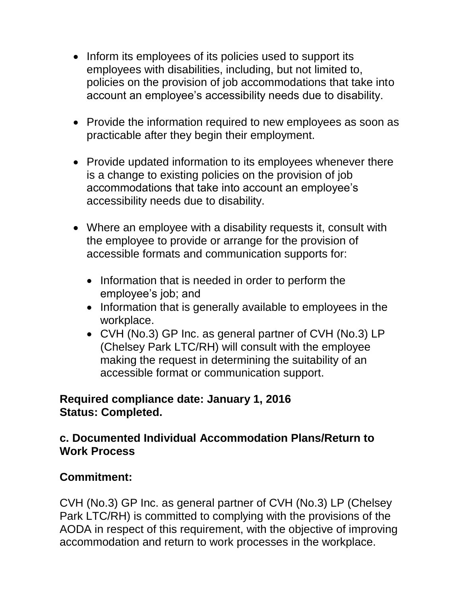- Inform its employees of its policies used to support its employees with disabilities, including, but not limited to, policies on the provision of job accommodations that take into account an employee's accessibility needs due to disability.
- Provide the information required to new employees as soon as practicable after they begin their employment.
- Provide updated information to its employees whenever there is a change to existing policies on the provision of job accommodations that take into account an employee's accessibility needs due to disability.
- Where an employee with a disability requests it, consult with the employee to provide or arrange for the provision of accessible formats and communication supports for:
	- Information that is needed in order to perform the employee's job; and
	- Information that is generally available to employees in the workplace.
	- CVH (No.3) GP Inc. as general partner of CVH (No.3) LP (Chelsey Park LTC/RH) will consult with the employee making the request in determining the suitability of an accessible format or communication support.

#### **Required compliance date: January 1, 2016 Status: Completed.**

#### **c. Documented Individual Accommodation Plans/Return to Work Process**

#### **Commitment:**

CVH (No.3) GP Inc. as general partner of CVH (No.3) LP (Chelsey Park LTC/RH) is committed to complying with the provisions of the AODA in respect of this requirement, with the objective of improving accommodation and return to work processes in the workplace.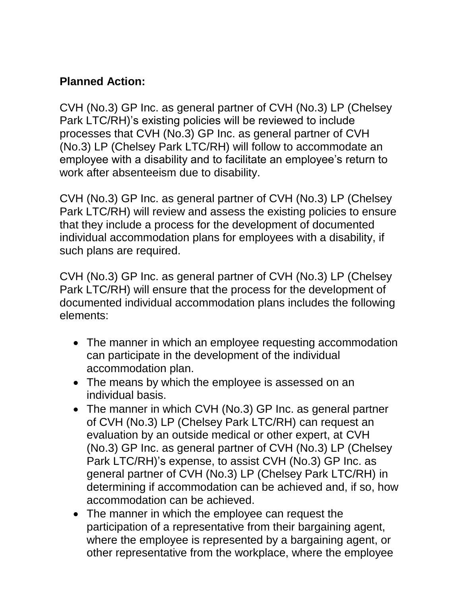## **Planned Action:**

CVH (No.3) GP Inc. as general partner of CVH (No.3) LP (Chelsey Park LTC/RH)'s existing policies will be reviewed to include processes that CVH (No.3) GP Inc. as general partner of CVH (No.3) LP (Chelsey Park LTC/RH) will follow to accommodate an employee with a disability and to facilitate an employee's return to work after absenteeism due to disability.

CVH (No.3) GP Inc. as general partner of CVH (No.3) LP (Chelsey Park LTC/RH) will review and assess the existing policies to ensure that they include a process for the development of documented individual accommodation plans for employees with a disability, if such plans are required.

CVH (No.3) GP Inc. as general partner of CVH (No.3) LP (Chelsey Park LTC/RH) will ensure that the process for the development of documented individual accommodation plans includes the following elements:

- The manner in which an employee requesting accommodation can participate in the development of the individual accommodation plan.
- The means by which the employee is assessed on an individual basis.
- The manner in which CVH (No.3) GP Inc. as general partner of CVH (No.3) LP (Chelsey Park LTC/RH) can request an evaluation by an outside medical or other expert, at CVH (No.3) GP Inc. as general partner of CVH (No.3) LP (Chelsey Park LTC/RH)'s expense, to assist CVH (No.3) GP Inc. as general partner of CVH (No.3) LP (Chelsey Park LTC/RH) in determining if accommodation can be achieved and, if so, how accommodation can be achieved.
- The manner in which the employee can request the participation of a representative from their bargaining agent, where the employee is represented by a bargaining agent, or other representative from the workplace, where the employee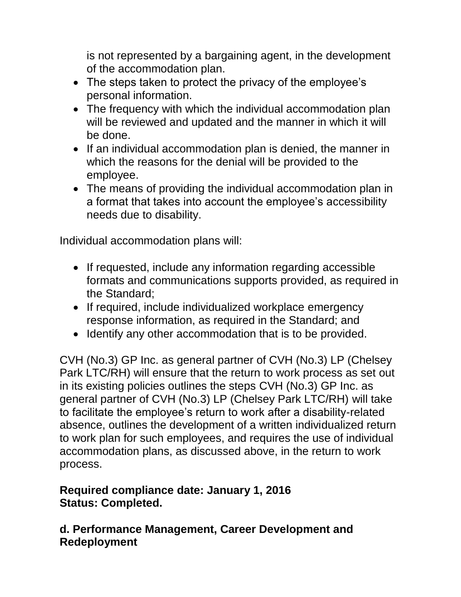is not represented by a bargaining agent, in the development of the accommodation plan.

- The steps taken to protect the privacy of the employee's personal information.
- The frequency with which the individual accommodation plan will be reviewed and updated and the manner in which it will be done.
- If an individual accommodation plan is denied, the manner in which the reasons for the denial will be provided to the employee.
- The means of providing the individual accommodation plan in a format that takes into account the employee's accessibility needs due to disability.

Individual accommodation plans will:

- If requested, include any information regarding accessible formats and communications supports provided, as required in the Standard;
- If required, include individualized workplace emergency response information, as required in the Standard; and
- Identify any other accommodation that is to be provided.

CVH (No.3) GP Inc. as general partner of CVH (No.3) LP (Chelsey Park LTC/RH) will ensure that the return to work process as set out in its existing policies outlines the steps CVH (No.3) GP Inc. as general partner of CVH (No.3) LP (Chelsey Park LTC/RH) will take to facilitate the employee's return to work after a disability-related absence, outlines the development of a written individualized return to work plan for such employees, and requires the use of individual accommodation plans, as discussed above, in the return to work process.

#### **Required compliance date: January 1, 2016 Status: Completed.**

### **d. Performance Management, Career Development and Redeployment**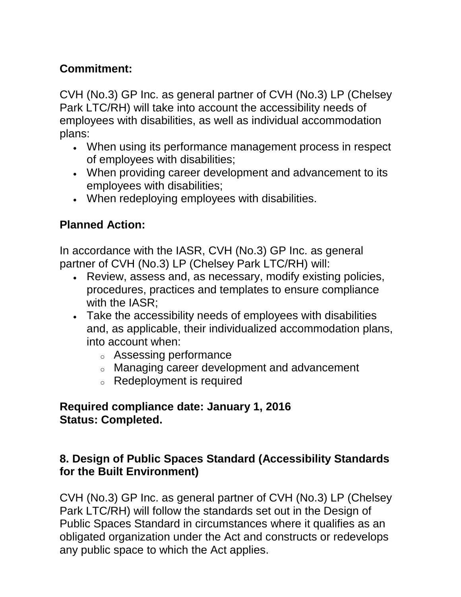## **Commitment:**

CVH (No.3) GP Inc. as general partner of CVH (No.3) LP (Chelsey Park LTC/RH) will take into account the accessibility needs of employees with disabilities, as well as individual accommodation plans:

- When using its performance management process in respect of employees with disabilities;
- When providing career development and advancement to its employees with disabilities;
- When redeploying employees with disabilities.

# **Planned Action:**

In accordance with the IASR, CVH (No.3) GP Inc. as general partner of CVH (No.3) LP (Chelsey Park LTC/RH) will:

- Review, assess and, as necessary, modify existing policies, procedures, practices and templates to ensure compliance with the IASR;
- Take the accessibility needs of employees with disabilities and, as applicable, their individualized accommodation plans, into account when:
	- <sup>o</sup> Assessing performance
	- <sup>o</sup> Managing career development and advancement
	- <sup>o</sup> Redeployment is required

#### **Required compliance date: January 1, 2016 Status: Completed.**

### **8. Design of Public Spaces Standard (Accessibility Standards for the Built Environment)**

CVH (No.3) GP Inc. as general partner of CVH (No.3) LP (Chelsey Park LTC/RH) will follow the standards set out in the Design of Public Spaces Standard in circumstances where it qualifies as an obligated organization under the Act and constructs or redevelops any public space to which the Act applies.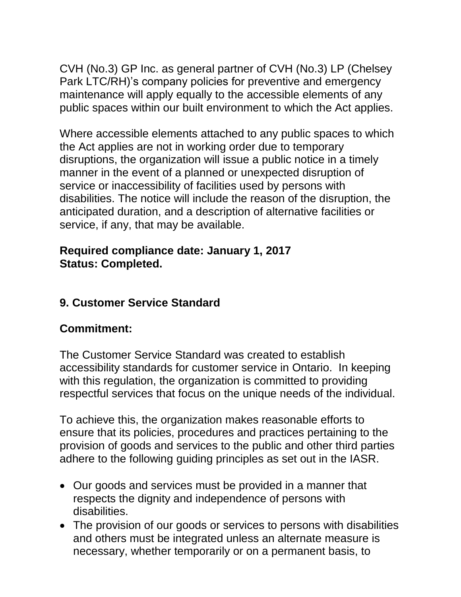CVH (No.3) GP Inc. as general partner of CVH (No.3) LP (Chelsey Park LTC/RH)'s company policies for preventive and emergency maintenance will apply equally to the accessible elements of any public spaces within our built environment to which the Act applies.

Where accessible elements attached to any public spaces to which the Act applies are not in working order due to temporary disruptions, the organization will issue a public notice in a timely manner in the event of a planned or unexpected disruption of service or inaccessibility of facilities used by persons with disabilities. The notice will include the reason of the disruption, the anticipated duration, and a description of alternative facilities or service, if any, that may be available.

#### **Required compliance date: January 1, 2017 Status: Completed.**

## **9. Customer Service Standard**

#### **Commitment:**

The Customer Service Standard was created to establish accessibility standards for customer service in Ontario. In keeping with this regulation, the organization is committed to providing respectful services that focus on the unique needs of the individual.

To achieve this, the organization makes reasonable efforts to ensure that its policies, procedures and practices pertaining to the provision of goods and services to the public and other third parties adhere to the following guiding principles as set out in the IASR.

- Our goods and services must be provided in a manner that respects the dignity and independence of persons with disabilities.
- The provision of our goods or services to persons with disabilities and others must be integrated unless an alternate measure is necessary, whether temporarily or on a permanent basis, to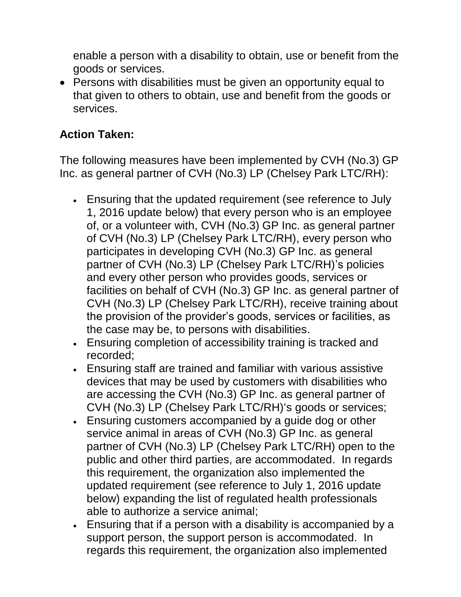enable a person with a disability to obtain, use or benefit from the goods or services.

• Persons with disabilities must be given an opportunity equal to that given to others to obtain, use and benefit from the goods or services.

## **Action Taken:**

The following measures have been implemented by CVH (No.3) GP Inc. as general partner of CVH (No.3) LP (Chelsey Park LTC/RH):

- Ensuring that the updated requirement (see reference to July 1, 2016 update below) that every person who is an employee of, or a volunteer with, CVH (No.3) GP Inc. as general partner of CVH (No.3) LP (Chelsey Park LTC/RH), every person who participates in developing CVH (No.3) GP Inc. as general partner of CVH (No.3) LP (Chelsey Park LTC/RH)'s policies and every other person who provides goods, services or facilities on behalf of CVH (No.3) GP Inc. as general partner of CVH (No.3) LP (Chelsey Park LTC/RH), receive training about the provision of the provider's goods, services or facilities, as the case may be, to persons with disabilities.
- Ensuring completion of accessibility training is tracked and recorded;
- Ensuring staff are trained and familiar with various assistive devices that may be used by customers with disabilities who are accessing the CVH (No.3) GP Inc. as general partner of CVH (No.3) LP (Chelsey Park LTC/RH)'s goods or services;
- Ensuring customers accompanied by a guide dog or other service animal in areas of CVH (No.3) GP Inc. as general partner of CVH (No.3) LP (Chelsey Park LTC/RH) open to the public and other third parties, are accommodated. In regards this requirement, the organization also implemented the updated requirement (see reference to July 1, 2016 update below) expanding the list of regulated health professionals able to authorize a service animal;
- Ensuring that if a person with a disability is accompanied by a support person, the support person is accommodated. In regards this requirement, the organization also implemented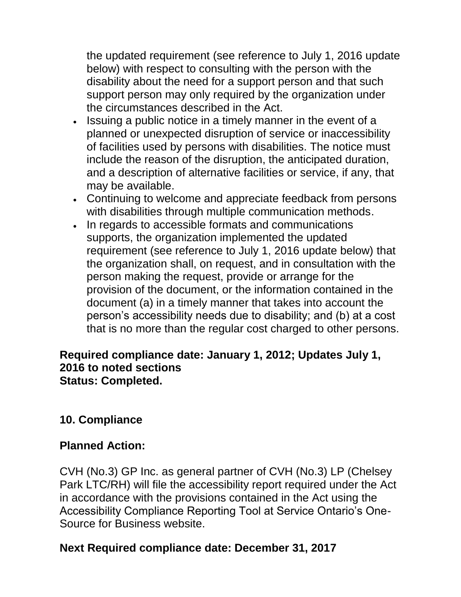the updated requirement (see reference to July 1, 2016 update below) with respect to consulting with the person with the disability about the need for a support person and that such support person may only required by the organization under the circumstances described in the Act.

- Issuing a public notice in a timely manner in the event of a planned or unexpected disruption of service or inaccessibility of facilities used by persons with disabilities. The notice must include the reason of the disruption, the anticipated duration, and a description of alternative facilities or service, if any, that may be available.
- Continuing to welcome and appreciate feedback from persons with disabilities through multiple communication methods.
- In regards to accessible formats and communications supports, the organization implemented the updated requirement (see reference to July 1, 2016 update below) that the organization shall, on request, and in consultation with the person making the request, provide or arrange for the provision of the document, or the information contained in the document (a) in a timely manner that takes into account the person's accessibility needs due to disability; and (b) at a cost that is no more than the regular cost charged to other persons.

#### **Required compliance date: January 1, 2012; Updates July 1, 2016 to noted sections Status: Completed.**

## **10. Compliance**

#### **Planned Action:**

CVH (No.3) GP Inc. as general partner of CVH (No.3) LP (Chelsey Park LTC/RH) will file the accessibility report required under the Act in accordance with the provisions contained in the Act using the Accessibility Compliance Reporting Tool at Service Ontario's One-Source for Business website.

#### **Next Required compliance date: December 31, 2017**